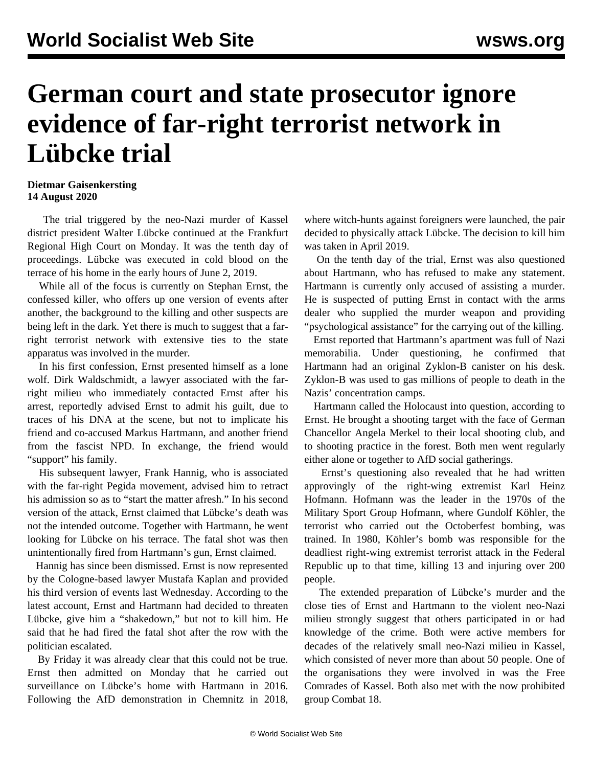## **German court and state prosecutor ignore evidence of far-right terrorist network in Lübcke trial**

## **Dietmar Gaisenkersting 14 August 2020**

 The trial triggered by the neo-Nazi murder of Kassel district president Walter Lübcke continued at the Frankfurt Regional High Court on Monday. It was the tenth day of proceedings. Lübcke was executed in cold blood on the terrace of his home in the early hours of June 2, 2019.

 While all of the focus is currently on Stephan Ernst, the confessed killer, who offers up one version of events after another, the background to the killing and other suspects are being left in the dark. Yet there is much to suggest that a farright terrorist network with extensive ties to the state apparatus was involved in the murder.

 In his first confession, Ernst presented himself as a lone wolf. Dirk Waldschmidt, a lawyer associated with the farright milieu who immediately contacted Ernst after his arrest, reportedly advised Ernst to admit his guilt, due to traces of his DNA at the scene, but not to implicate his friend and co-accused Markus Hartmann, and another friend from the fascist NPD. In exchange, the friend would "support" his family.

 His subsequent lawyer, Frank Hannig, who is associated with the far-right Pegida movement, advised him to retract his admission so as to "start the matter afresh." In his second version of the attack, Ernst claimed that Lübcke's death was not the intended outcome. Together with Hartmann, he went looking for Lübcke on his terrace. The fatal shot was then unintentionally fired from Hartmann's gun, Ernst claimed.

 Hannig has since been dismissed. Ernst is now represented by the Cologne-based lawyer Mustafa Kaplan and provided his third version of events last Wednesday. According to the latest account, Ernst and Hartmann had decided to threaten Lübcke, give him a "shakedown," but not to kill him. He said that he had fired the fatal shot after the row with the politician escalated.

 By Friday it was already clear that this could not be true. Ernst then admitted on Monday that he carried out surveillance on Lübcke's home with Hartmann in 2016. Following the AfD demonstration in Chemnitz in 2018, where witch-hunts against foreigners were launched, the pair decided to physically attack Lübcke. The decision to kill him was taken in April 2019.

 On the tenth day of the trial, Ernst was also questioned about Hartmann, who has refused to make any statement. Hartmann is currently only accused of assisting a murder. He is suspected of putting Ernst in contact with the arms dealer who supplied the murder weapon and providing "psychological assistance" for the carrying out of the killing.

 Ernst reported that Hartmann's apartment was full of Nazi memorabilia. Under questioning, he confirmed that Hartmann had an original Zyklon-B canister on his desk. Zyklon-B was used to gas millions of people to death in the Nazis' concentration camps.

 Hartmann called the Holocaust into question, according to Ernst. He brought a shooting target with the face of German Chancellor Angela Merkel to their local shooting club, and to shooting practice in the forest. Both men went regularly either alone or together to AfD social gatherings.

 Ernst's questioning also revealed that he had written approvingly of the right-wing extremist Karl Heinz Hofmann. Hofmann was the leader in the 1970s of the Military Sport Group Hofmann, where Gundolf Köhler, the terrorist who carried out the Octoberfest bombing, was trained. In 1980, Köhler's bomb was responsible for the deadliest right-wing extremist terrorist attack in the Federal Republic up to that time, killing 13 and injuring over 200 people.

 The extended preparation of Lübcke's murder and the close ties of Ernst and Hartmann to the violent neo-Nazi milieu strongly suggest that others participated in or had knowledge of the crime. Both were active members for decades of the relatively small neo-Nazi milieu in Kassel, which consisted of never more than about 50 people. One of the organisations they were involved in was the Free Comrades of Kassel. Both also met with the now prohibited group Combat 18.